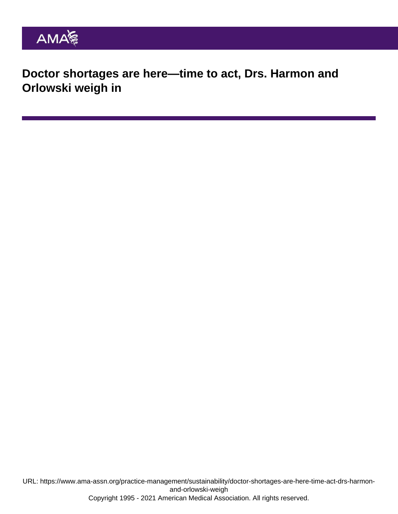Doctor shortages are here—time to act, Drs. Harmon and Orlowski weigh in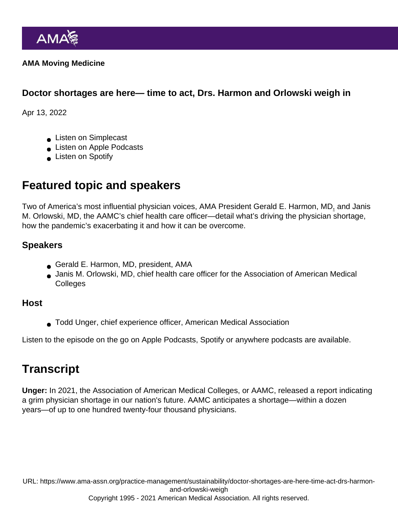AMA Moving Medicine

Doctor shortages are here— time to act, Drs. Harmon and Orlowski weigh in

Apr 13, 2022

- **Listen on Simplecast**
- **Listen on Apple Podcasts**
- **Listen on Spotify**

## Featured topic and speakers

Two of America's most influential physician voices, AMA President [Gerald E. Harmon, MD](https://www.ama-assn.org/about/board-trustees/gerald-e-harmon-md), and Janis M. Orlowski, MD, the AAMC's chief health care officer—detail what's driving the physician shortage, how the pandemic's exacerbating it and how it can be overcome.

## Speakers

- Gerald E. Harmon, MD, president, AMA
- Janis M. Orlowski, MD, chief health care officer for the Association of American Medical **Colleges**

## Host

Todd Unger, chief experience officer, American Medical Association

Listen to the episode on the go on [Apple Podcasts,](https://podcasts.apple.com/us/podcast/doctor-shortages-are-here-time-to-act-drs-harmon-and/id1428853046?i=1000557455636) [Spotify](https://open.spotify.com/episode/7Kq8siGmNaQpHDiO6yKG1n?si=5044a412aabd4d44) or [anywhere](https://ama-moving-medicine.simplecast.com/episodes/doctor-shortages-are-here-time-to-act-drs-harmon-and-orlowski-weigh-in) podcasts are available.

## **Transcript**

Unger: In 2021, the Association of American Medical Colleges, or AAMC, released a report indicating a grim physician shortage in our nation's future. AAMC anticipates a shortage—within a dozen years—of up to one hundred twenty-four thousand physicians.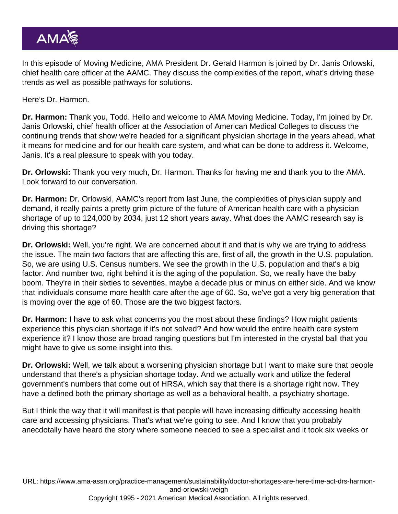In this episode of Moving Medicine, AMA President Dr. Gerald Harmon is joined by Dr. Janis Orlowski, chief health care officer at the AAMC. They discuss the complexities of the report, what's driving these trends as well as possible pathways for solutions.

Here's Dr. Harmon.

Dr. Harmon: Thank you, Todd. Hello and welcome to AMA Moving Medicine. Today, I'm joined by Dr. Janis Orlowski, chief health officer at the Association of American Medical Colleges to discuss the continuing trends that show we're headed for a significant physician shortage in the years ahead, what it means for medicine and for our health care system, and what can be done to address it. Welcome, Janis. It's a real pleasure to speak with you today.

Dr. Orlowski: Thank you very much, Dr. Harmon. Thanks for having me and thank you to the AMA. Look forward to our conversation.

Dr. Harmon: Dr. Orlowski, AAMC's report from last June, the complexities of physician supply and demand, it really paints a pretty grim picture of the future of American health care with a physician shortage of up to 124,000 by 2034, just 12 short years away. What does the AAMC research say is driving this shortage?

Dr. Orlowski: Well, you're right. We are concerned about it and that is why we are trying to address the issue. The main two factors that are affecting this are, first of all, the growth in the U.S. population. So, we are using U.S. Census numbers. We see the growth in the U.S. population and that's a big factor. And number two, right behind it is the aging of the population. So, we really have the baby boom. They're in their sixties to seventies, maybe a decade plus or minus on either side. And we know that individuals consume more health care after the age of 60. So, we've got a very big generation that is moving over the age of 60. Those are the two biggest factors.

Dr. Harmon: I have to ask what concerns you the most about these findings? How might patients experience this physician shortage if it's not solved? And how would the entire health care system experience it? I know those are broad ranging questions but I'm interested in the crystal ball that you might have to give us some insight into this.

Dr. Orlowski: Well, we talk about a worsening physician shortage but I want to make sure that people understand that there's a physician shortage today. And we actually work and utilize the federal government's numbers that come out of HRSA, which say that there is a shortage right now. They have a defined both the primary shortage as well as a behavioral health, a psychiatry shortage.

But I think the way that it will manifest is that people will have increasing difficulty accessing health care and accessing physicians. That's what we're going to see. And I know that you probably anecdotally have heard the story where someone needed to see a specialist and it took six weeks or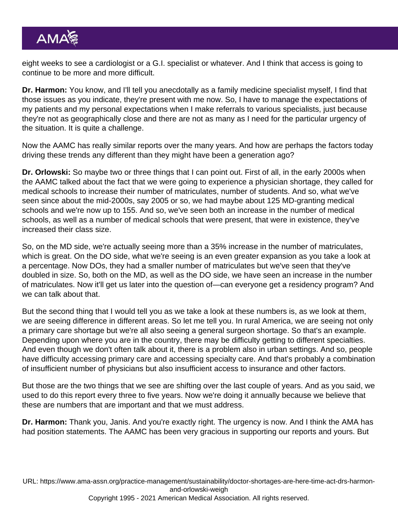eight weeks to see a cardiologist or a G.I. specialist or whatever. And I think that access is going to continue to be more and more difficult.

Dr. Harmon: You know, and I'll tell you anecdotally as a family medicine specialist myself, I find that those issues as you indicate, they're present with me now. So, I have to manage the expectations of my patients and my personal expectations when I make referrals to various specialists, just because they're not as geographically close and there are not as many as I need for the particular urgency of the situation. It is quite a challenge.

Now the AAMC has really similar reports over the many years. And how are perhaps the factors today driving these trends any different than they might have been a generation ago?

Dr. Orlowski: So maybe two or three things that I can point out. First of all, in the early 2000s when the AAMC talked about the fact that we were going to experience a physician shortage, they called for medical schools to increase their number of matriculates, number of students. And so, what we've seen since about the mid-2000s, say 2005 or so, we had maybe about 125 MD-granting medical schools and we're now up to 155. And so, we've seen both an increase in the number of medical schools, as well as a number of medical schools that were present, that were in existence, they've increased their class size.

So, on the MD side, we're actually seeing more than a 35% increase in the number of matriculates, which is great. On the DO side, what we're seeing is an even greater expansion as you take a look at a percentage. Now DOs, they had a smaller number of matriculates but we've seen that they've doubled in size. So, both on the MD, as well as the DO side, we have seen an increase in the number of matriculates. Now it'll get us later into the question of—can everyone get a residency program? And we can talk about that.

But the second thing that I would tell you as we take a look at these numbers is, as we look at them, we are seeing difference in different areas. So let me tell you. In rural America, we are seeing not only a primary care shortage but we're all also seeing a general surgeon shortage. So that's an example. Depending upon where you are in the country, there may be difficulty getting to different specialties. And even though we don't often talk about it, there is a problem also in urban settings. And so, people have difficulty accessing primary care and accessing specialty care. And that's probably a combination of insufficient number of physicians but also insufficient access to insurance and other factors.

But those are the two things that we see are shifting over the last couple of years. And as you said, we used to do this report every three to five years. Now we're doing it annually because we believe that these are numbers that are important and that we must address.

Dr. Harmon: Thank you, Janis. And you're exactly right. The urgency is now. And I think the AMA has had position statements. The AAMC has been very gracious in supporting our reports and yours. But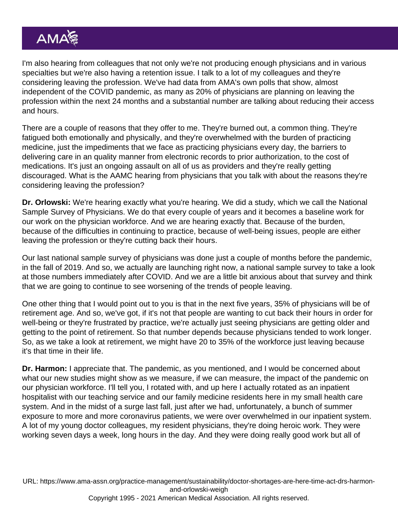I'm also hearing from colleagues that not only we're not producing enough physicians and in various specialties but we're also having a retention issue. I talk to a lot of my colleagues and they're considering leaving the profession. We've had data from AMA's own polls that show, almost independent of the COVID pandemic, as many as 20% of physicians are planning on leaving the profession within the next 24 months and a substantial number are talking about reducing their access and hours.

There are a couple of reasons that they offer to me. They're burned out, a common thing. They're fatigued both emotionally and physically, and they're overwhelmed with the burden of practicing medicine, just the impediments that we face as practicing physicians every day, the barriers to delivering care in an quality manner from electronic records to prior authorization, to the cost of medications. It's just an ongoing assault on all of us as providers and they're really getting discouraged. What is the AAMC hearing from physicians that you talk with about the reasons they're considering leaving the profession?

Dr. Orlowski: We're hearing exactly what you're hearing. We did a study, which we call the National Sample Survey of Physicians. We do that every couple of years and it becomes a baseline work for our work on the physician workforce. And we are hearing exactly that. Because of the burden, because of the difficulties in continuing to practice, because of well-being issues, people are either leaving the profession or they're cutting back their hours.

Our last national sample survey of physicians was done just a couple of months before the pandemic, in the fall of 2019. And so, we actually are launching right now, a national sample survey to take a look at those numbers immediately after COVID. And we are a little bit anxious about that survey and think that we are going to continue to see worsening of the trends of people leaving.

One other thing that I would point out to you is that in the next five years, 35% of physicians will be of retirement age. And so, we've got, if it's not that people are wanting to cut back their hours in order for well-being or they're frustrated by practice, we're actually just seeing physicians are getting older and getting to the point of retirement. So that number depends because physicians tended to work longer. So, as we take a look at retirement, we might have 20 to 35% of the workforce just leaving because it's that time in their life.

Dr. Harmon: I appreciate that. The pandemic, as you mentioned, and I would be concerned about what our new studies might show as we measure, if we can measure, the impact of the pandemic on our physician workforce. I'll tell you, I rotated with, and up here I actually rotated as an inpatient hospitalist with our teaching service and our family medicine residents here in my small health care system. And in the midst of a surge last fall, just after we had, unfortunately, a bunch of summer exposure to more and more coronavirus patients, we were over overwhelmed in our inpatient system. A lot of my young doctor colleagues, my resident physicians, they're doing heroic work. They were working seven days a week, long hours in the day. And they were doing really good work but all of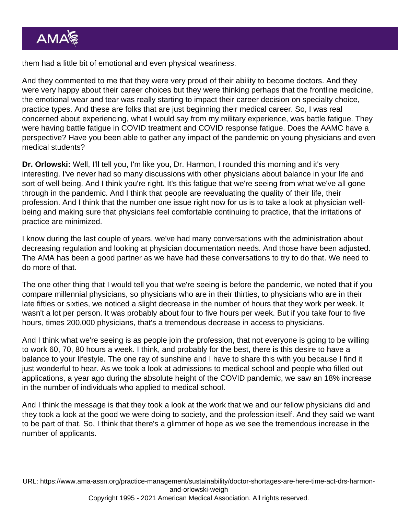them had a little bit of emotional and even physical weariness.

And they commented to me that they were very proud of their ability to become doctors. And they were very happy about their career choices but they were thinking perhaps that the frontline medicine, the emotional wear and tear was really starting to impact their career decision on specialty choice, practice types. And these are folks that are just beginning their medical career. So, I was real concerned about experiencing, what I would say from my military experience, was battle fatigue. They were having battle fatigue in COVID treatment and COVID response fatigue. Does the AAMC have a perspective? Have you been able to gather any impact of the pandemic on young physicians and even medical students?

Dr. Orlowski: Well, I'll tell you, I'm like you, Dr. Harmon, I rounded this morning and it's very interesting. I've never had so many discussions with other physicians about balance in your life and sort of well-being. And I think you're right. It's this fatigue that we're seeing from what we've all gone through in the pandemic. And I think that people are reevaluating the quality of their life, their profession. And I think that the number one issue right now for us is to take a look at physician wellbeing and making sure that physicians feel comfortable continuing to practice, that the irritations of practice are minimized.

I know during the last couple of years, we've had many conversations with the administration about decreasing regulation and looking at physician documentation needs. And those have been adjusted. The AMA has been a good partner as we have had these conversations to try to do that. We need to do more of that.

The one other thing that I would tell you that we're seeing is before the pandemic, we noted that if you compare millennial physicians, so physicians who are in their thirties, to physicians who are in their late fifties or sixties, we noticed a slight decrease in the number of hours that they work per week. It wasn't a lot per person. It was probably about four to five hours per week. But if you take four to five hours, times 200,000 physicians, that's a tremendous decrease in access to physicians.

And I think what we're seeing is as people join the profession, that not everyone is going to be willing to work 60, 70, 80 hours a week. I think, and probably for the best, there is this desire to have a balance to your lifestyle. The one ray of sunshine and I have to share this with you because I find it just wonderful to hear. As we took a look at admissions to medical school and people who filled out applications, a year ago during the absolute height of the COVID pandemic, we saw an 18% increase in the number of individuals who applied to medical school.

And I think the message is that they took a look at the work that we and our fellow physicians did and they took a look at the good we were doing to society, and the profession itself. And they said we want to be part of that. So, I think that there's a glimmer of hope as we see the tremendous increase in the number of applicants.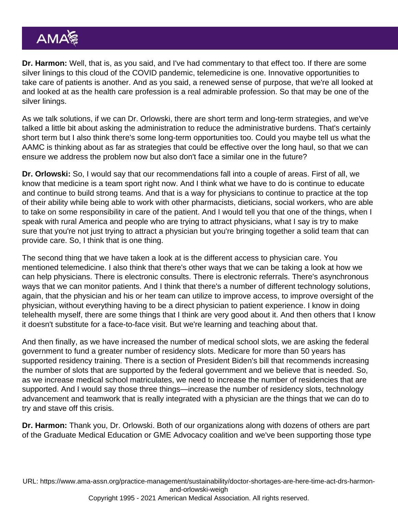Dr. Harmon: Well, that is, as you said, and I've had commentary to that effect too. If there are some silver linings to this cloud of the COVID pandemic, telemedicine is one. Innovative opportunities to take care of patients is another. And as you said, a renewed sense of purpose, that we're all looked at and looked at as the health care profession is a real admirable profession. So that may be one of the silver linings.

As we talk solutions, if we can Dr. Orlowski, there are short term and long-term strategies, and we've talked a little bit about asking the administration to reduce the administrative burdens. That's certainly short term but I also think there's some long-term opportunities too. Could you maybe tell us what the AAMC is thinking about as far as strategies that could be effective over the long haul, so that we can ensure we address the problem now but also don't face a similar one in the future?

Dr. Orlowski: So, I would say that our recommendations fall into a couple of areas. First of all, we know that medicine is a team sport right now. And I think what we have to do is continue to educate and continue to build strong teams. And that is a way for physicians to continue to practice at the top of their ability while being able to work with other pharmacists, dieticians, social workers, who are able to take on some responsibility in care of the patient. And I would tell you that one of the things, when I speak with rural America and people who are trying to attract physicians, what I say is try to make sure that you're not just trying to attract a physician but you're bringing together a solid team that can provide care. So, I think that is one thing.

The second thing that we have taken a look at is the different access to physician care. You mentioned telemedicine. I also think that there's other ways that we can be taking a look at how we can help physicians. There is electronic consults. There is electronic referrals. There's asynchronous ways that we can monitor patients. And I think that there's a number of different technology solutions, again, that the physician and his or her team can utilize to improve access, to improve oversight of the physician, without everything having to be a direct physician to patient experience. I know in doing telehealth myself, there are some things that I think are very good about it. And then others that I know it doesn't substitute for a face-to-face visit. But we're learning and teaching about that.

And then finally, as we have increased the number of medical school slots, we are asking the federal government to fund a greater number of residency slots. Medicare for more than 50 years has supported residency training. There is a section of President Biden's bill that recommends increasing the number of slots that are supported by the federal government and we believe that is needed. So, as we increase medical school matriculates, we need to increase the number of residencies that are supported. And I would say those three things—increase the number of residency slots, technology advancement and teamwork that is really integrated with a physician are the things that we can do to try and stave off this crisis.

Dr. Harmon: Thank you, Dr. Orlowski. Both of our organizations along with dozens of others are part of the Graduate Medical Education or GME Advocacy coalition and we've been supporting those type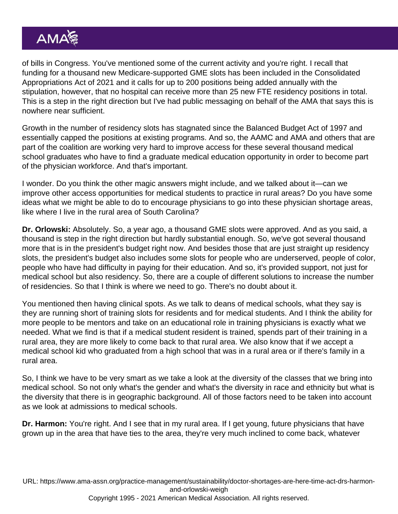of bills in Congress. You've mentioned some of the current activity and you're right. I recall that funding for a thousand new Medicare-supported GME slots has been included in the Consolidated Appropriations Act of 2021 and it calls for up to 200 positions being added annually with the stipulation, however, that no hospital can receive more than 25 new FTE residency positions in total. This is a step in the right direction but I've had public messaging on behalf of the AMA that says this is nowhere near sufficient.

Growth in the number of residency slots has stagnated since the Balanced Budget Act of 1997 and essentially capped the positions at existing programs. And so, the AAMC and AMA and others that are part of the coalition are working very hard to improve access for these several thousand medical school graduates who have to find a graduate medical education opportunity in order to become part of the physician workforce. And that's important.

I wonder. Do you think the other magic answers might include, and we talked about it—can we improve other access opportunities for medical students to practice in rural areas? Do you have some ideas what we might be able to do to encourage physicians to go into these physician shortage areas, like where I live in the rural area of South Carolina?

Dr. Orlowski: Absolutely. So, a year ago, a thousand GME slots were approved. And as you said, a thousand is step in the right direction but hardly substantial enough. So, we've got several thousand more that is in the president's budget right now. And besides those that are just straight up residency slots, the president's budget also includes some slots for people who are underserved, people of color, people who have had difficulty in paying for their education. And so, it's provided support, not just for medical school but also residency. So, there are a couple of different solutions to increase the number of residencies. So that I think is where we need to go. There's no doubt about it.

You mentioned then having clinical spots. As we talk to deans of medical schools, what they say is they are running short of training slots for residents and for medical students. And I think the ability for more people to be mentors and take on an educational role in training physicians is exactly what we needed. What we find is that if a medical student resident is trained, spends part of their training in a rural area, they are more likely to come back to that rural area. We also know that if we accept a medical school kid who graduated from a high school that was in a rural area or if there's family in a rural area.

So, I think we have to be very smart as we take a look at the diversity of the classes that we bring into medical school. So not only what's the gender and what's the diversity in race and ethnicity but what is the diversity that there is in geographic background. All of those factors need to be taken into account as we look at admissions to medical schools.

Dr. Harmon: You're right. And I see that in my rural area. If I get young, future physicians that have grown up in the area that have ties to the area, they're very much inclined to come back, whatever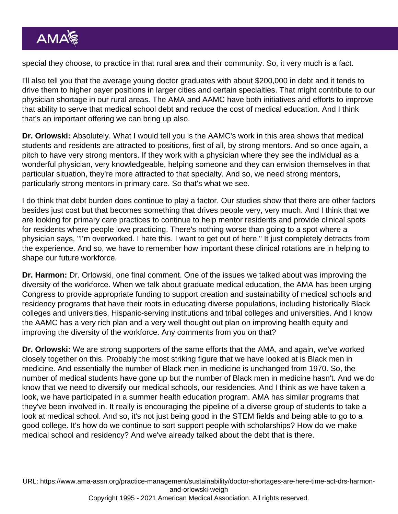special they choose, to practice in that rural area and their community. So, it very much is a fact.

I'll also tell you that the average young doctor graduates with about \$200,000 in debt and it tends to drive them to higher payer positions in larger cities and certain specialties. That might contribute to our physician shortage in our rural areas. The AMA and AAMC have both initiatives and efforts to improve that ability to serve that medical school debt and reduce the cost of medical education. And I think that's an important offering we can bring up also.

Dr. Orlowski: Absolutely. What I would tell you is the AAMC's work in this area shows that medical students and residents are attracted to positions, first of all, by strong mentors. And so once again, a pitch to have very strong mentors. If they work with a physician where they see the individual as a wonderful physician, very knowledgeable, helping someone and they can envision themselves in that particular situation, they're more attracted to that specialty. And so, we need strong mentors, particularly strong mentors in primary care. So that's what we see.

I do think that debt burden does continue to play a factor. Our studies show that there are other factors besides just cost but that becomes something that drives people very, very much. And I think that we are looking for primary care practices to continue to help mentor residents and provide clinical spots for residents where people love practicing. There's nothing worse than going to a spot where a physician says, "I'm overworked. I hate this. I want to get out of here." It just completely detracts from the experience. And so, we have to remember how important these clinical rotations are in helping to shape our future workforce.

Dr. Harmon: Dr. Orlowski, one final comment. One of the issues we talked about was improving the diversity of the workforce. When we talk about graduate medical education, the AMA has been urging Congress to provide appropriate funding to support creation and sustainability of medical schools and residency programs that have their roots in educating diverse populations, including historically Black colleges and universities, Hispanic-serving institutions and tribal colleges and universities. And I know the AAMC has a very rich plan and a very well thought out plan on improving health equity and improving the diversity of the workforce. Any comments from you on that?

Dr. Orlowski: We are strong supporters of the same efforts that the AMA, and again, we've worked closely together on this. Probably the most striking figure that we have looked at is Black men in medicine. And essentially the number of Black men in medicine is unchanged from 1970. So, the number of medical students have gone up but the number of Black men in medicine hasn't. And we do know that we need to diversify our medical schools, our residencies. And I think as we have taken a look, we have participated in a summer health education program. AMA has similar programs that they've been involved in. It really is encouraging the pipeline of a diverse group of students to take a look at medical school. And so, it's not just being good in the STEM fields and being able to go to a good college. It's how do we continue to sort support people with scholarships? How do we make medical school and residency? And we've already talked about the debt that is there.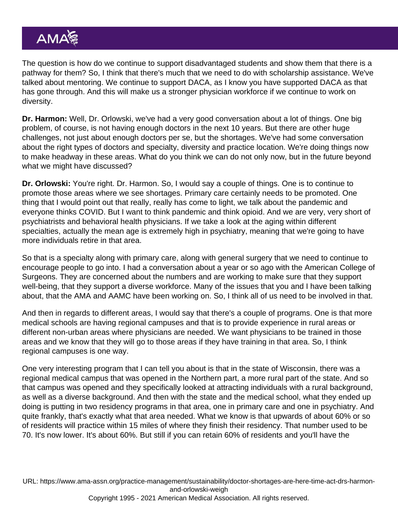The question is how do we continue to support disadvantaged students and show them that there is a pathway for them? So, I think that there's much that we need to do with scholarship assistance. We've talked about mentoring. We continue to support DACA, as I know you have supported DACA as that has gone through. And this will make us a stronger physician workforce if we continue to work on diversity.

Dr. Harmon: Well, Dr. Orlowski, we've had a very good conversation about a lot of things. One big problem, of course, is not having enough doctors in the next 10 years. But there are other huge challenges, not just about enough doctors per se, but the shortages. We've had some conversation about the right types of doctors and specialty, diversity and practice location. We're doing things now to make headway in these areas. What do you think we can do not only now, but in the future beyond what we might have discussed?

Dr. Orlowski: You're right. Dr. Harmon. So, I would say a couple of things. One is to continue to promote those areas where we see shortages. Primary care certainly needs to be promoted. One thing that I would point out that really, really has come to light, we talk about the pandemic and everyone thinks COVID. But I want to think pandemic and think opioid. And we are very, very short of psychiatrists and behavioral health physicians. If we take a look at the aging within different specialties, actually the mean age is extremely high in psychiatry, meaning that we're going to have more individuals retire in that area.

So that is a specialty along with primary care, along with general surgery that we need to continue to encourage people to go into. I had a conversation about a year or so ago with the American College of Surgeons. They are concerned about the numbers and are working to make sure that they support well-being, that they support a diverse workforce. Many of the issues that you and I have been talking about, that the AMA and AAMC have been working on. So, I think all of us need to be involved in that.

And then in regards to different areas, I would say that there's a couple of programs. One is that more medical schools are having regional campuses and that is to provide experience in rural areas or different non-urban areas where physicians are needed. We want physicians to be trained in those areas and we know that they will go to those areas if they have training in that area. So, I think regional campuses is one way.

One very interesting program that I can tell you about is that in the state of Wisconsin, there was a regional medical campus that was opened in the Northern part, a more rural part of the state. And so that campus was opened and they specifically looked at attracting individuals with a rural background, as well as a diverse background. And then with the state and the medical school, what they ended up doing is putting in two residency programs in that area, one in primary care and one in psychiatry. And quite frankly, that's exactly what that area needed. What we know is that upwards of about 60% or so of residents will practice within 15 miles of where they finish their residency. That number used to be 70. It's now lower. It's about 60%. But still if you can retain 60% of residents and you'll have the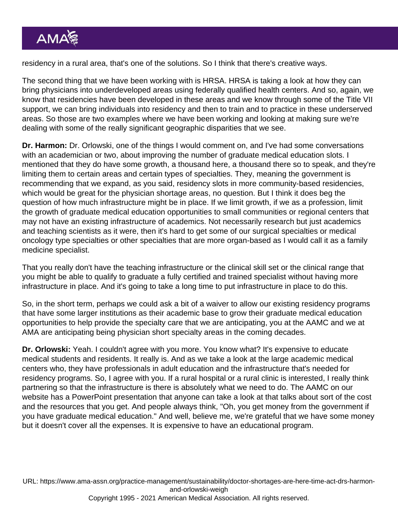residency in a rural area, that's one of the solutions. So I think that there's creative ways.

The second thing that we have been working with is HRSA. HRSA is taking a look at how they can bring physicians into underdeveloped areas using federally qualified health centers. And so, again, we know that residencies have been developed in these areas and we know through some of the Title VII support, we can bring individuals into residency and then to train and to practice in these underserved areas. So those are two examples where we have been working and looking at making sure we're dealing with some of the really significant geographic disparities that we see.

Dr. Harmon: Dr. Orlowski, one of the things I would comment on, and I've had some conversations with an academician or two, about improving the number of graduate medical education slots. I mentioned that they do have some growth, a thousand here, a thousand there so to speak, and they're limiting them to certain areas and certain types of specialties. They, meaning the government is recommending that we expand, as you said, residency slots in more community-based residencies, which would be great for the physician shortage areas, no question. But I think it does beg the question of how much infrastructure might be in place. If we limit growth, if we as a profession, limit the growth of graduate medical education opportunities to small communities or regional centers that may not have an existing infrastructure of academics. Not necessarily research but just academics and teaching scientists as it were, then it's hard to get some of our surgical specialties or medical oncology type specialties or other specialties that are more organ-based as I would call it as a family medicine specialist.

That you really don't have the teaching infrastructure or the clinical skill set or the clinical range that you might be able to qualify to graduate a fully certified and trained specialist without having more infrastructure in place. And it's going to take a long time to put infrastructure in place to do this.

So, in the short term, perhaps we could ask a bit of a waiver to allow our existing residency programs that have some larger institutions as their academic base to grow their graduate medical education opportunities to help provide the specialty care that we are anticipating, you at the AAMC and we at AMA are anticipating being physician short specialty areas in the coming decades.

Dr. Orlowski: Yeah. I couldn't agree with you more. You know what? It's expensive to educate medical students and residents. It really is. And as we take a look at the large academic medical centers who, they have professionals in adult education and the infrastructure that's needed for residency programs. So, I agree with you. If a rural hospital or a rural clinic is interested, I really think partnering so that the infrastructure is there is absolutely what we need to do. The AAMC on our website has a PowerPoint presentation that anyone can take a look at that talks about sort of the cost and the resources that you get. And people always think, "Oh, you get money from the government if you have graduate medical education." And well, believe me, we're grateful that we have some money but it doesn't cover all the expenses. It is expensive to have an educational program.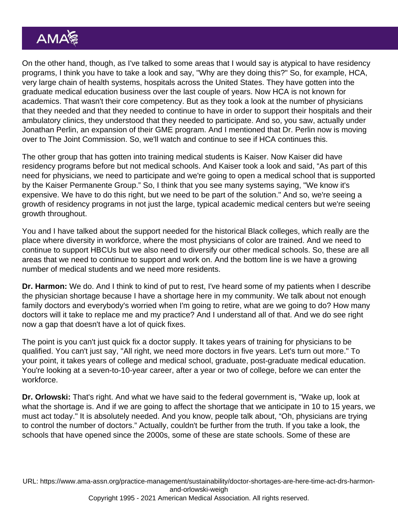On the other hand, though, as I've talked to some areas that I would say is atypical to have residency programs, I think you have to take a look and say, "Why are they doing this?" So, for example, HCA, very large chain of health systems, hospitals across the United States. They have gotten into the graduate medical education business over the last couple of years. Now HCA is not known for academics. That wasn't their core competency. But as they took a look at the number of physicians that they needed and that they needed to continue to have in order to support their hospitals and their ambulatory clinics, they understood that they needed to participate. And so, you saw, actually under Jonathan Perlin, an expansion of their GME program. And I mentioned that Dr. Perlin now is moving over to The Joint Commission. So, we'll watch and continue to see if HCA continues this.

The other group that has gotten into training medical students is Kaiser. Now Kaiser did have residency programs before but not medical schools. And Kaiser took a look and said, "As part of this need for physicians, we need to participate and we're going to open a medical school that is supported by the Kaiser Permanente Group." So, I think that you see many systems saying, "We know it's expensive. We have to do this right, but we need to be part of the solution." And so, we're seeing a growth of residency programs in not just the large, typical academic medical centers but we're seeing growth throughout.

You and I have talked about the support needed for the historical Black colleges, which really are the place where diversity in workforce, where the most physicians of color are trained. And we need to continue to support HBCUs but we also need to diversify our other medical schools. So, these are all areas that we need to continue to support and work on. And the bottom line is we have a growing number of medical students and we need more residents.

Dr. Harmon: We do. And I think to kind of put to rest, I've heard some of my patients when I describe the physician shortage because I have a shortage here in my community. We talk about not enough family doctors and everybody's worried when I'm going to retire, what are we going to do? How many doctors will it take to replace me and my practice? And I understand all of that. And we do see right now a gap that doesn't have a lot of quick fixes.

The point is you can't just quick fix a doctor supply. It takes years of training for physicians to be qualified. You can't just say, "All right, we need more doctors in five years. Let's turn out more." To your point, it takes years of college and medical school, graduate, post-graduate medical education. You're looking at a seven-to-10-year career, after a year or two of college, before we can enter the workforce.

Dr. Orlowski: That's right. And what we have said to the federal government is, "Wake up, look at what the shortage is. And if we are going to affect the shortage that we anticipate in 10 to 15 years, we must act today." It is absolutely needed. And you know, people talk about, "Oh, physicians are trying to control the number of doctors." Actually, couldn't be further from the truth. If you take a look, the schools that have opened since the 2000s, some of these are state schools. Some of these are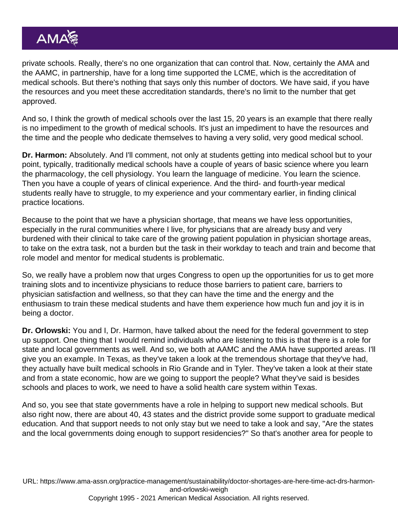private schools. Really, there's no one organization that can control that. Now, certainly the AMA and the AAMC, in partnership, have for a long time supported the LCME, which is the accreditation of medical schools. But there's nothing that says only this number of doctors. We have said, if you have the resources and you meet these accreditation standards, there's no limit to the number that get approved.

And so, I think the growth of medical schools over the last 15, 20 years is an example that there really is no impediment to the growth of medical schools. It's just an impediment to have the resources and the time and the people who dedicate themselves to having a very solid, very good medical school.

Dr. Harmon: Absolutely. And I'll comment, not only at students getting into medical school but to your point, typically, traditionally medical schools have a couple of years of basic science where you learn the pharmacology, the cell physiology. You learn the language of medicine. You learn the science. Then you have a couple of years of clinical experience. And the third- and fourth-year medical students really have to struggle, to my experience and your commentary earlier, in finding clinical practice locations.

Because to the point that we have a physician shortage, that means we have less opportunities, especially in the rural communities where I live, for physicians that are already busy and very burdened with their clinical to take care of the growing patient population in physician shortage areas, to take on the extra task, not a burden but the task in their workday to teach and train and become that role model and mentor for medical students is problematic.

So, we really have a problem now that urges Congress to open up the opportunities for us to get more training slots and to incentivize physicians to reduce those barriers to patient care, barriers to physician satisfaction and wellness, so that they can have the time and the energy and the enthusiasm to train these medical students and have them experience how much fun and joy it is in being a doctor.

Dr. Orlowski: You and I, Dr. Harmon, have talked about the need for the federal government to step up support. One thing that I would remind individuals who are listening to this is that there is a role for state and local governments as well. And so, we both at AAMC and the AMA have supported areas. I'll give you an example. In Texas, as they've taken a look at the tremendous shortage that they've had, they actually have built medical schools in Rio Grande and in Tyler. They've taken a look at their state and from a state economic, how are we going to support the people? What they've said is besides schools and places to work, we need to have a solid health care system within Texas.

And so, you see that state governments have a role in helping to support new medical schools. But also right now, there are about 40, 43 states and the district provide some support to graduate medical education. And that support needs to not only stay but we need to take a look and say, "Are the states and the local governments doing enough to support residencies?" So that's another area for people to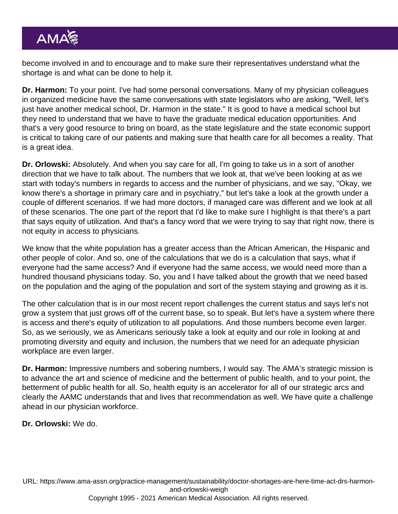become involved in and to encourage and to make sure their representatives understand what the shortage is and what can be done to help it.

Dr. Harmon: To your point. I've had some personal conversations. Many of my physician colleagues in organized medicine have the same conversations with state legislators who are asking, "Well, let's just have another medical school, Dr. Harmon in the state." It is good to have a medical school but they need to understand that we have to have the graduate medical education opportunities. And that's a very good resource to bring on board, as the state legislature and the state economic support is critical to taking care of our patients and making sure that health care for all becomes a reality. That is a great idea.

Dr. Orlowski: Absolutely. And when you say care for all, I'm going to take us in a sort of another direction that we have to talk about. The numbers that we look at, that we've been looking at as we start with today's numbers in regards to access and the number of physicians, and we say, "Okay, we know there's a shortage in primary care and in psychiatry," but let's take a look at the growth under a couple of different scenarios. If we had more doctors, if managed care was different and we look at all of these scenarios. The one part of the report that I'd like to make sure I highlight is that there's a part that says equity of utilization. And that's a fancy word that we were trying to say that right now, there is not equity in access to physicians.

We know that the white population has a greater access than the African American, the Hispanic and other people of color. And so, one of the calculations that we do is a calculation that says, what if everyone had the same access? And if everyone had the same access, we would need more than a hundred thousand physicians today. So, you and I have talked about the growth that we need based on the population and the aging of the population and sort of the system staying and growing as it is.

The other calculation that is in our most recent report challenges the current status and says let's not grow a system that just grows off of the current base, so to speak. But let's have a system where there is access and there's equity of utilization to all populations. And those numbers become even larger. So, as we seriously, we as Americans seriously take a look at equity and our role in looking at and promoting diversity and equity and inclusion, the numbers that we need for an adequate physician workplace are even larger.

Dr. Harmon: Impressive numbers and sobering numbers, I would say. The AMA's strategic mission is to advance the art and science of medicine and the betterment of public health, and to your point, the betterment of public health for all. So, health equity is an accelerator for all of our strategic arcs and clearly the AAMC understands that and lives that recommendation as well. We have quite a challenge ahead in our physician workforce.

Dr. Orlowski: We do.